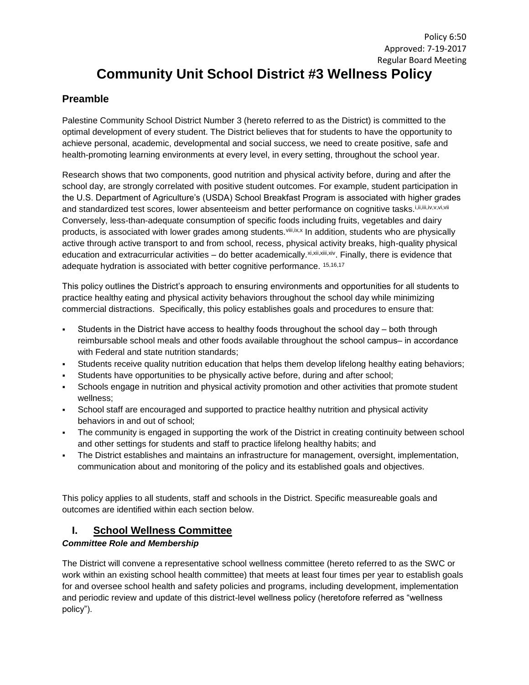# Policy 6:50 Approved: 7-19-2017 Regular Board Meeting **Community Unit School District #3 Wellness Policy**

# **Preamble**

Palestine Community School District Number 3 (hereto referred to as the District) is committed to the optimal development of every student. The District believes that for students to have the opportunity to achieve personal, academic, developmental and social success, we need to create positive, safe and health-promoting learning environments at every level, in every setting, throughout the school year.

Research shows that two components, good nutrition and physical activity before, during and after the school day, are strongly correlated with positive student outcomes. For example, student participation in the U.S. Department of Agriculture's (USDA) School Breakfast Program is associated with higher grades and standardized test scores, lower absenteeism and better performance on cognitive tasks.i,ii,iii,iv,v,vi,vii Conversely, less-than-adequate consumption of specific foods including fruits, vegetables and dairy products, is associated with lower grades among students.<sup>viii,ix,x</sup> In addition, students who are physically active through active transport to and from school, recess, physical activity breaks, high-quality physical education and extracurricular activities – do better academically.xi,xii,xii,xiv. Finally, there is evidence that adequate hydration is associated with better cognitive performance. 15,16,17

This policy outlines the District's approach to ensuring environments and opportunities for all students to practice healthy eating and physical activity behaviors throughout the school day while minimizing commercial distractions. Specifically, this policy establishes goals and procedures to ensure that:

- Students in the District have access to healthy foods throughout the school day both through reimbursable school meals and other foods available throughout the school campus- in accordance with Federal and state nutrition standards;
- Students receive quality nutrition education that helps them develop lifelong healthy eating behaviors;
- Students have opportunities to be physically active before, during and after school;
- Schools engage in nutrition and physical activity promotion and other activities that promote student wellness;
- School staff are encouraged and supported to practice healthy nutrition and physical activity behaviors in and out of school;
- The community is engaged in supporting the work of the District in creating continuity between school and other settings for students and staff to practice lifelong healthy habits; and
- The District establishes and maintains an infrastructure for management, oversight, implementation, communication about and monitoring of the policy and its established goals and objectives.

This policy applies to all students, staff and schools in the District. Specific measureable goals and outcomes are identified within each section below.

# **I. School Wellness Committee**

# *Committee Role and Membership*

The District will convene a representative school wellness committee (hereto referred to as the SWC or work within an existing school health committee) that meets at least four times per year to establish goals for and oversee school health and safety policies and programs, including development, implementation and periodic review and update of this district-level wellness policy (heretofore referred as "wellness policy").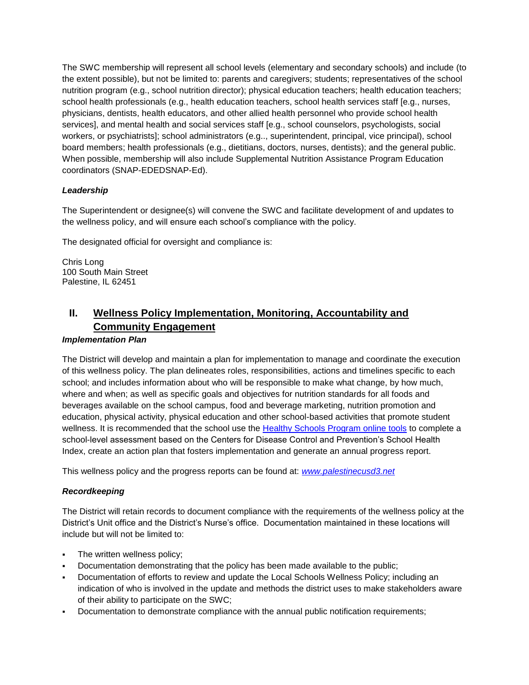The SWC membership will represent all school levels (elementary and secondary schools) and include (to the extent possible), but not be limited to: parents and caregivers; students; representatives of the school nutrition program (e.g., school nutrition director); physical education teachers; health education teachers; school health professionals (e.g., health education teachers, school health services staff [e.g., nurses, physicians, dentists, health educators, and other allied health personnel who provide school health services], and mental health and social services staff [e.g., school counselors, psychologists, social workers, or psychiatrists]; school administrators (e.g.., superintendent, principal, vice principal), school board members; health professionals (e.g., dietitians, doctors, nurses, dentists); and the general public. When possible, membership will also include Supplemental Nutrition Assistance Program Education coordinators (SNAP-EDEDSNAP-Ed).

# *Leadership*

The Superintendent or designee(s) will convene the SWC and facilitate development of and updates to the wellness policy, and will ensure each school's compliance with the policy.

The designated official for oversight and compliance is:

Chris Long 100 South Main Street Palestine, IL 62451

# **II. Wellness Policy Implementation, Monitoring, Accountability and Community Engagement**

### *Implementation Plan*

The District will develop and maintain a plan for implementation to manage and coordinate the execution of this wellness policy. The plan delineates roles, responsibilities, actions and timelines specific to each school; and includes information about who will be responsible to make what change, by how much, where and when; as well as specific goals and objectives for nutrition standards for all foods and beverages available on the school campus, food and beverage marketing, nutrition promotion and education, physical activity, physical education and other school-based activities that promote student wellness. It is recommended that the school use the [Healthy Schools Program online tools](http://www.schools.healthiergeneration.org/) to complete a school-level assessment based on the Centers for Disease Control and Prevention's School Health Index, create an action plan that fosters implementation and generate an annual progress report.

This wellness policy and the progress reports can be found at: *[www.palestinecusd3.net](http://www.palestinecusd3.net/)*

# *Recordkeeping*

The District will retain records to document compliance with the requirements of the wellness policy at the District's Unit office and the District's Nurse's office. Documentation maintained in these locations will include but will not be limited to:

- The written wellness policy;
- Documentation demonstrating that the policy has been made available to the public;
- Documentation of efforts to review and update the Local Schools Wellness Policy; including an indication of who is involved in the update and methods the district uses to make stakeholders aware of their ability to participate on the SWC;
- Documentation to demonstrate compliance with the annual public notification requirements;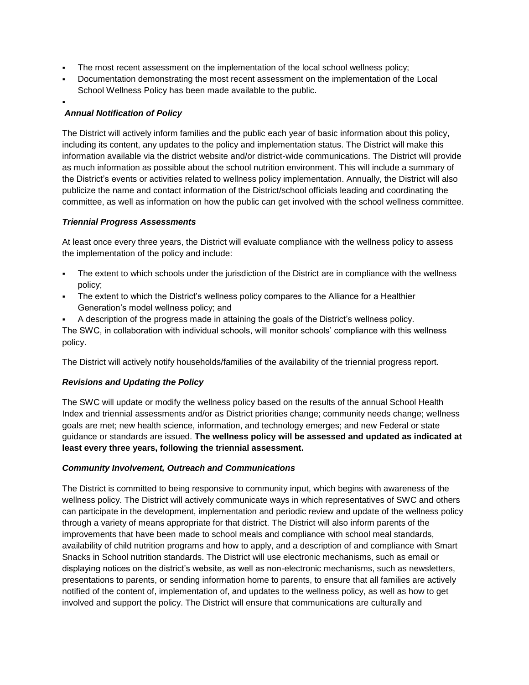- The most recent assessment on the implementation of the local school wellness policy;
- Documentation demonstrating the most recent assessment on the implementation of the Local School Wellness Policy has been made available to the public.

#### . *Annual Notification of Policy*

The District will actively inform families and the public each year of basic information about this policy, including its content, any updates to the policy and implementation status. The District will make this information available via the district website and/or district-wide communications. The District will provide as much information as possible about the school nutrition environment. This will include a summary of the District's events or activities related to wellness policy implementation. Annually, the District will also publicize the name and contact information of the District/school officials leading and coordinating the committee, as well as information on how the public can get involved with the school wellness committee.

# *Triennial Progress Assessments*

At least once every three years, the District will evaluate compliance with the wellness policy to assess the implementation of the policy and include:

- The extent to which schools under the jurisdiction of the District are in compliance with the wellness policy;
- The extent to which the District's wellness policy compares to the Alliance for a Healthier Generation's model wellness policy; and
- A description of the progress made in attaining the goals of the District's wellness policy.

The SWC, in collaboration with individual schools, will monitor schools' compliance with this wellness policy.

The District will actively notify households/families of the availability of the triennial progress report.

# *Revisions and Updating the Policy*

The SWC will update or modify the wellness policy based on the results of the annual School Health Index and triennial assessments and/or as District priorities change; community needs change; wellness goals are met; new health science, information, and technology emerges; and new Federal or state guidance or standards are issued. **The wellness policy will be assessed and updated as indicated at least every three years, following the triennial assessment.**

#### *Community Involvement, Outreach and Communications*

The District is committed to being responsive to community input, which begins with awareness of the wellness policy. The District will actively communicate ways in which representatives of SWC and others can participate in the development, implementation and periodic review and update of the wellness policy through a variety of means appropriate for that district. The District will also inform parents of the improvements that have been made to school meals and compliance with school meal standards, availability of child nutrition programs and how to apply, and a description of and compliance with Smart Snacks in School nutrition standards. The District will use electronic mechanisms, such as email or displaying notices on the district's website, as well as non-electronic mechanisms, such as newsletters, presentations to parents, or sending information home to parents, to ensure that all families are actively notified of the content of, implementation of, and updates to the wellness policy, as well as how to get involved and support the policy. The District will ensure that communications are culturally and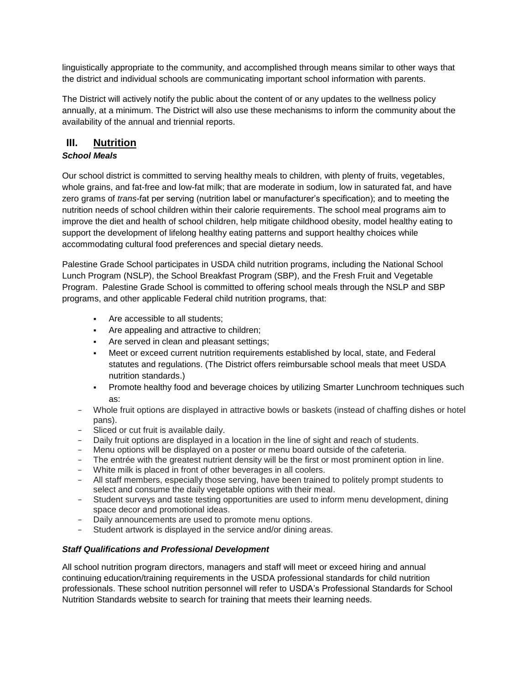linguistically appropriate to the community, and accomplished through means similar to other ways that the district and individual schools are communicating important school information with parents.

The District will actively notify the public about the content of or any updates to the wellness policy annually, at a minimum. The District will also use these mechanisms to inform the community about the availability of the annual and triennial reports.

# **III. Nutrition**

# *School Meals*

Our school district is committed to serving healthy meals to children, with plenty of fruits, vegetables, whole grains, and fat-free and low-fat milk; that are moderate in sodium, low in saturated fat, and have zero grams of *trans*-fat per serving (nutrition label or manufacturer's specification); and to meeting the nutrition needs of school children within their calorie requirements. The school meal programs aim to improve the diet and health of school children, help mitigate childhood obesity, model healthy eating to support the development of lifelong healthy eating patterns and support healthy choices while accommodating cultural food preferences and special dietary needs.

Palestine Grade School participates in USDA child nutrition programs, including the National School Lunch Program (NSLP), the School Breakfast Program (SBP), and the Fresh Fruit and Vegetable Program. Palestine Grade School is committed to offering school meals through the NSLP and SBP programs, and other applicable Federal child nutrition programs, that:

- Are accessible to all students;
- Are appealing and attractive to children;
- **Are served in clean and pleasant settings;**
- Meet or exceed current nutrition requirements established by local, state, and Federal statutes and regulations. (The District offers reimbursable school meals that meet [USDA](http://www.fns.usda.gov/school-meals/nutrition-standards-school-meals)  [nutrition standards.](http://www.fns.usda.gov/school-meals/nutrition-standards-school-meals))
- Promote healthy food and beverage choices by utilizing [Smarter Lunchroom techniques](http://smarterlunchrooms.org/ideas) such as:
- − Whole fruit options are displayed in attractive bowls or baskets (instead of chaffing dishes or hotel pans).
- − Sliced or cut fruit is available daily.
- − Daily fruit options are displayed in a location in the line of sight and reach of students.
- − Menu options will be displayed on a poster or menu board outside of the cafeteria.
- The entrée with the greatest nutrient density will be the first or most prominent option in line.
- − White milk is placed in front of other beverages in all coolers.
- − All staff members, especially those serving, have been trained to politely prompt students to select and consume the daily vegetable options with their meal.
- − Student surveys and taste testing opportunities are used to inform menu development, dining space decor and promotional ideas.
- Daily announcements are used to promote menu options.
- Student artwork is displayed in the service and/or dining areas.

# *Staff Qualifications and Professional Development*

All school nutrition program directors, managers and staff will meet or exceed hiring and annual continuing education/training requirements in the [USDA professional standards for child nutrition](http://www.fns.usda.gov/sites/default/files/CN2014-0130.pdf)  [professionals.](http://www.fns.usda.gov/sites/default/files/CN2014-0130.pdf) These school nutrition personnel will refer to [USDA's Professional Standards for School](http://professionalstandards.nal.usda.gov/)  [Nutrition Standards website](http://professionalstandards.nal.usda.gov/) to search for training that meets their learning needs.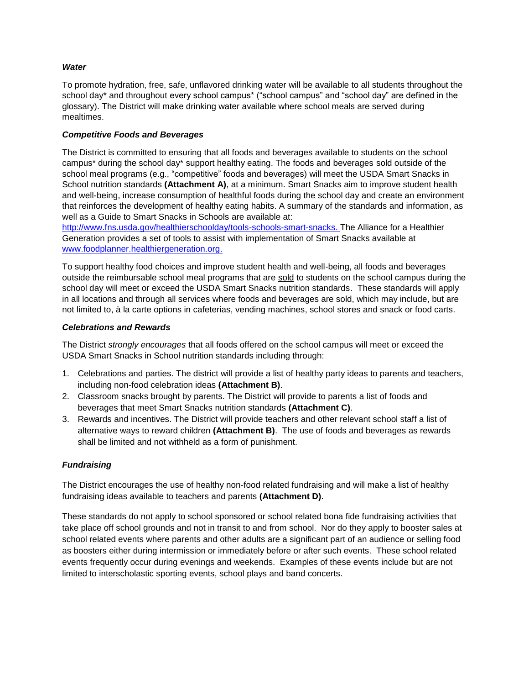### *Water*

To promote hydration, free, safe, unflavored drinking water will be available to all students throughout the school day\* and throughout every school campus\* ("school campus" and "school day" are defined in the glossary). The District will make drinking water available where school meals are served during mealtimes.

### *Competitive Foods and Beverages*

The District is committed to ensuring that all foods and beverages available to students on the school campus\* during the school day\* support healthy eating. The foods and beverages sold outside of the school meal programs (e.g., "competitive" foods and beverages) will meet the USDA Smart Snacks in School nutrition standards **(Attachment A)**, at a minimum. Smart Snacks aim to improve student health and well-being, increase consumption of healthful foods during the school day and create an environment that reinforces the development of healthy eating habits. A summary of the standards and information, as well as a Guide to Smart Snacks in Schools are available at:

[http://www.fns.usda.gov/healthierschoolday/tools-schools-smart-snacks.](http://www.fns.usda.gov/healthierschoolday/tools-schools-smart-snacks) The Alliance for a Healthier Generation provides a set of tools to assist with implementation of Smart Snacks available at [www.foodplanner.healthiergeneration.org.](http://www.foodplanner.healthiergeneration.org/)

To support healthy food choices and improve student health and well-being, all foods and beverages outside the reimbursable school meal programs that are sold to students on the school campus during the school day will meet or exceed the USDA Smart Snacks nutrition standards. These standards will apply in all locations and through all services where foods and beverages are sold, which may include, but are not limited to, à la carte options in cafeterias, vending machines, school stores and snack or food carts.

### *Celebrations and Rewards*

The District *strongly encourages* that all foods offered on the school campus will meet or exceed the USDA Smart Snacks in School nutrition standards including through:

- 1. Celebrations and parties. The district will provide a list of healthy party ideas to parents and teachers, including non-food celebration ideas **(Attachment B)**.
- 2. Classroom snacks brought by parents. The District will provide to parents a [list of foods and](https://www.healthiergeneration.org/live_healthier/eat_healthier/alliance_product_navigator/browse_products/?product_category_id=720)  [beverages that meet Smart Snacks](https://www.healthiergeneration.org/live_healthier/eat_healthier/alliance_product_navigator/browse_products/?product_category_id=720) nutrition standards **(Attachment C)**.
- 3. Rewards and incentives. The District will provide teachers and other relevant school staff a [list of](https://www.healthiergeneration.org/take_action/schools/snacks_and_beverages/non-food_rewards/)  [alternative ways to reward children](https://www.healthiergeneration.org/take_action/schools/snacks_and_beverages/non-food_rewards/) **(Attachment B)**. The use of foods and beverages as rewards shall be limited and not withheld as a form of punishment.

# *Fundraising*

The District encourages the use of healthy non-food related fundraising and will make a list of healthy fundraising ideas available to teachers and parents **(Attachment D)**.

These standards do not apply to school sponsored or school related bona fide fundraising activities that take place off school grounds and not in transit to and from school. Nor do they apply to booster sales at school related events where parents and other adults are a significant part of an audience or selling food as boosters either during intermission or immediately before or after such events. These school related events frequently occur during evenings and weekends. Examples of these events include but are not limited to interscholastic sporting events, school plays and band concerts.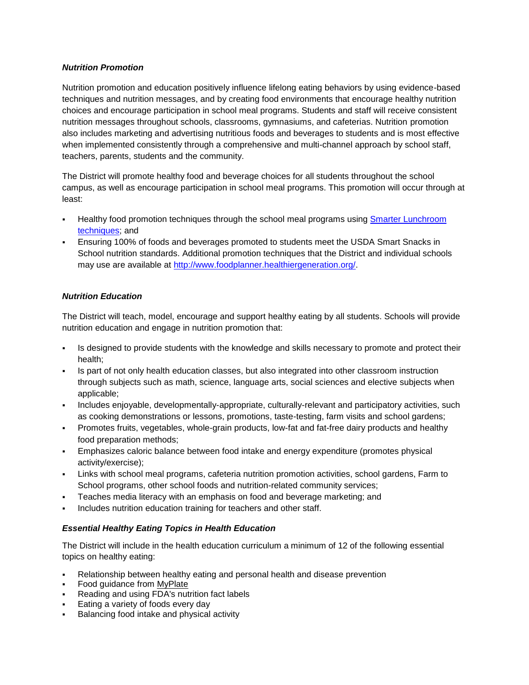# *Nutrition Promotion*

Nutrition promotion and education positively influence lifelong eating behaviors by using evidence-based techniques and nutrition messages, and by creating food environments that encourage healthy nutrition choices and encourage participation in school meal programs. Students and staff will receive consistent nutrition messages throughout schools, classrooms, gymnasiums, and cafeterias. Nutrition promotion also includes marketing and advertising nutritious foods and beverages to students and is most effective when implemented consistently through a comprehensive and multi-channel approach by school staff, teachers, parents, students and the community.

The District will promote healthy food and beverage choices for all students throughout the school campus, as well as encourage participation in school meal programs. This promotion will occur through at least:

- Healthy food promotion techniques through the school meal programs using [Smarter Lunchroom](http://smarterlunchrooms.org/ideas)  [techniques;](http://smarterlunchrooms.org/ideas) and
- Ensuring 100% of foods and beverages promoted to students meet the USDA Smart Snacks in School nutrition standards. Additional promotion techniques that the District and individual schools may use are available at [http://www.foodplanner.healthiergeneration.org/.](http://www.foodplanner.healthiergeneration.org/)

# *Nutrition Education*

The District will teach, model, encourage and support healthy eating by all students. Schools will provide nutrition education and engage in nutrition promotion that:

- Is designed to provide students with the knowledge and skills necessary to promote and protect their health;
- Is part of not only health education classes, but also integrated into other classroom instruction through subjects such as math, science, language arts, social sciences and elective subjects when applicable;
- Includes enjoyable, developmentally-appropriate, culturally-relevant and participatory activities, such as cooking demonstrations or lessons, promotions, taste-testing, farm visits and school gardens;
- Promotes fruits, vegetables, whole-grain products, low-fat and fat-free dairy products and healthy food preparation methods;
- Emphasizes caloric balance between food intake and energy expenditure (promotes physical activity/exercise);
- Links with school meal programs, cafeteria nutrition promotion activities, school gardens, Farm to School programs, other school foods and nutrition-related community services;
- Teaches media literacy with an emphasis on food and beverage marketing; and
- Includes nutrition education training for teachers and other staff.

# *Essential Healthy Eating Topics in Health Education*

The District will include in the health education curriculum a minimum of 12 of the following essential topics on healthy eating:

- Relationship between healthy eating and personal health and disease prevention
- Food guidance from [MyPlate](http://www.choosemyplate.gov/)
- Reading and using FDA's nutrition fact labels
- Eating a variety of foods every day
- Balancing food intake and physical activity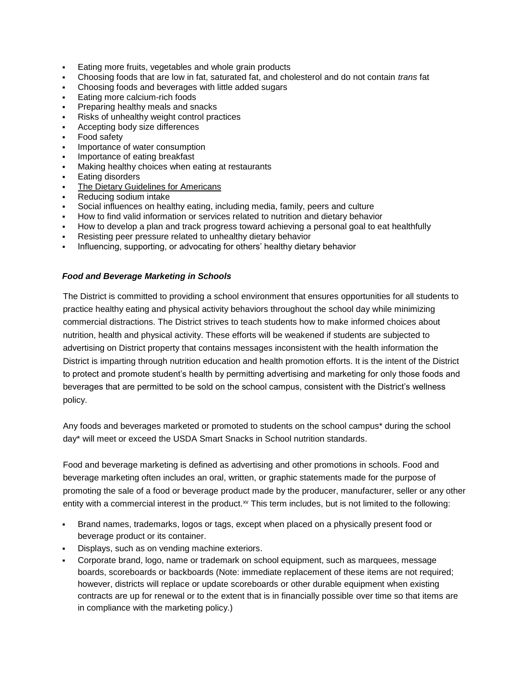- Eating more fruits, vegetables and whole grain products
- Choosing foods that are low in fat, saturated fat, and cholesterol and do not contain *trans* fat
- Choosing foods and beverages with little added sugars
- Eating more calcium-rich foods
- Preparing healthy meals and snacks
- Risks of unhealthy weight control practices
- Accepting body size differences
- Food safety
- Importance of water consumption
- Importance of eating breakfast
- Making healthy choices when eating at restaurants
- Eating disorders
- [The Dietary Guidelines for Americans](https://www.choosemyplate.gov/dietary-guidelines)
- Reducing sodium intake
- Social influences on healthy eating, including media, family, peers and culture
- How to find valid information or services related to nutrition and dietary behavior
- How to develop a plan and track progress toward achieving a personal goal to eat healthfully
- Resisting peer pressure related to unhealthy dietary behavior
- Influencing, supporting, or advocating for others' healthy dietary behavior

### *Food and Beverage Marketing in Schools*

The District is committed to providing a school environment that ensures opportunities for all students to practice healthy eating and physical activity behaviors throughout the school day while minimizing commercial distractions. The District strives to teach students how to make informed choices about nutrition, health and physical activity. These efforts will be weakened if students are subjected to advertising on District property that contains messages inconsistent with the health information the District is imparting through nutrition education and health promotion efforts. It is the intent of the District to protect and promote student's health by permitting advertising and marketing for only those foods and beverages that are permitted to be sold on the school campus, consistent with the District's wellness policy.

Any foods and beverages marketed or promoted to students on the school campus\* during the school day\* will meet or exceed the USDA Smart Snacks in School nutrition standards.

Food and beverage marketing is defined as advertising and other promotions in schools. Food and beverage marketing often includes an oral, written, or graphic statements made for the purpose of promoting the sale of a food or beverage product made by the producer, manufacturer, seller or any other entity with a commercial interest in the product.<sup>xv</sup> This term includes, but is not limited to the following:

- Brand names, trademarks, logos or tags, except when placed on a physically present food or beverage product or its container.
- Displays, such as on vending machine exteriors.
- Corporate brand, logo, name or trademark on school equipment, such as marquees, message boards, scoreboards or backboards (Note: immediate replacement of these items are not required; however, districts will replace or update scoreboards or other durable equipment when existing contracts are up for renewal or to the extent that is in financially possible over time so that items are in compliance with the marketing policy.)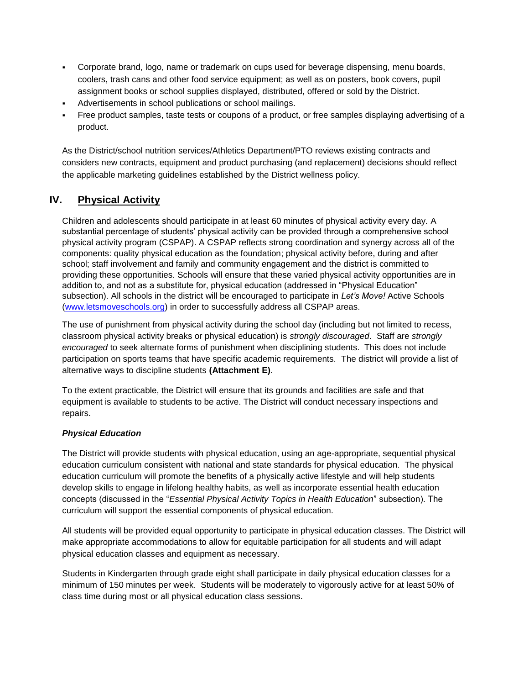- Corporate brand, logo, name or trademark on cups used for beverage dispensing, menu boards, coolers, trash cans and other food service equipment; as well as on posters, book covers, pupil assignment books or school supplies displayed, distributed, offered or sold by the District.
- Advertisements in school publications or school mailings.
- Free product samples, taste tests or coupons of a product, or free samples displaying advertising of a product.

As the District/school nutrition services/Athletics Department/PTO reviews existing contracts and considers new contracts, equipment and product purchasing (and replacement) decisions should reflect the applicable marketing guidelines established by the District wellness policy.

# **IV. Physical Activity**

Children and adolescents should participate in at least 60 minutes of physical activity every day. A substantial percentage of students' physical activity can be provided through a comprehensive school physical activity program (CSPAP). A CSPAP reflects strong coordination and synergy across all of the components: quality physical education as the foundation; physical activity before, during and after school; staff involvement and family and community engagement and the district is committed to providing these opportunities. Schools will ensure that these varied physical activity opportunities are in addition to, and not as a substitute for, physical education (addressed in "Physical Education" subsection). All schools in the district will be encouraged to participate in *Let's Move!* Active Schools [\(www.letsmoveschools.org\)](http://www.letsmoveschools.org/) in order to successfully address all CSPAP areas.

The use of punishment from physical activity during the school day (including but not limited to recess, classroom physical activity breaks or physical education) is *strongly discouraged*. Staff are *strongly encouraged* to seek alternate forms of punishment when disciplining students. This does not include participation on sports teams that have specific academic requirements. The district will provide a list of alternative ways to discipline students **(Attachment E)**.

To the extent practicable, the District will ensure that its grounds and facilities are safe and that equipment is available to students to be active. The District will conduct necessary inspections and repairs.

# *Physical Education*

The District will provide students with physical education, using an age-appropriate, sequential physical education curriculum consistent with national and state standards for physical education. The physical education curriculum will promote the benefits of a physically active lifestyle and will help students develop skills to engage in lifelong healthy habits, as well as incorporate essential health education concepts (discussed in the "*Essential Physical Activity Topics in Health Education*" subsection). The curriculum will support the essential components of physical education.

All students will be provided equal opportunity to participate in physical education classes. The District will make appropriate accommodations to allow for equitable participation for all students and will adapt physical education classes and equipment as necessary.

Students in Kindergarten through grade eight shall participate in daily physical education classes for a minimum of 150 minutes per week. Students will be moderately to vigorously active for at least 50% of class time during most or all physical education class sessions.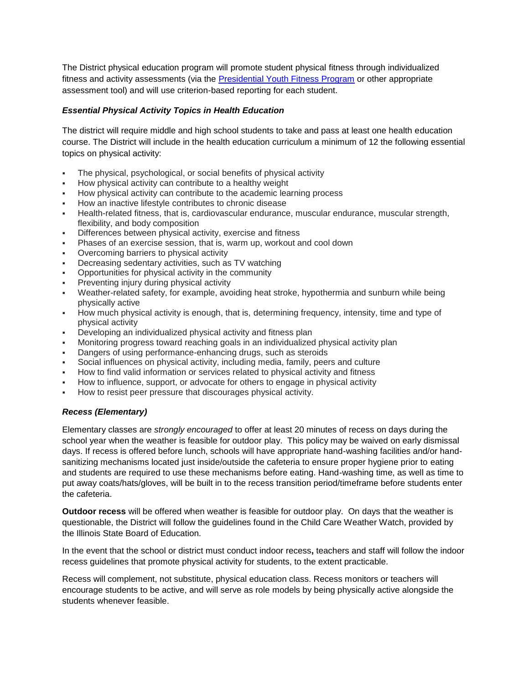The District physical education program will promote student physical fitness through individualized fitness and activity assessments (via the [Presidential Youth Fitness Program](http://www.pyfp.org/) or other appropriate assessment tool) and will use criterion-based reporting for each student.

# *Essential Physical Activity Topics in Health Education*

The district will require middle and high school students to take and pass at least one health education course. The District will include in the health education curriculum a minimum of 12 the following essential topics on physical activity:

- The physical, psychological, or social benefits of physical activity
- How physical activity can contribute to a healthy weight
- How physical activity can contribute to the academic learning process
- How an inactive lifestyle contributes to chronic disease
- Health-related fitness, that is, cardiovascular endurance, muscular endurance, muscular strength, flexibility, and body composition
- Differences between physical activity, exercise and fitness
- Phases of an exercise session, that is, warm up, workout and cool down
- Overcoming barriers to physical activity
- Decreasing sedentary activities, such as TV watching
- Opportunities for physical activity in the community
- Preventing injury during physical activity
- Weather-related safety, for example, avoiding heat stroke, hypothermia and sunburn while being physically active
- How much physical activity is enough, that is, determining frequency, intensity, time and type of physical activity
- Developing an individualized physical activity and fitness plan
- Monitoring progress toward reaching goals in an individualized physical activity plan
- Dangers of using performance-enhancing drugs, such as steroids
- Social influences on physical activity, including media, family, peers and culture
- How to find valid information or services related to physical activity and fitness
- How to influence, support, or advocate for others to engage in physical activity
- How to resist peer pressure that discourages physical activity.

# *Recess (Elementary)*

Elementary classes are *strongly encouraged* to offer at least 20 minutes of recess on days during the school year when the weather is feasible for outdoor play. This policy may be waived on early dismissal days. If recess is offered before lunch, schools will have appropriate hand-washing facilities and/or handsanitizing mechanisms located just inside/outside the cafeteria to ensure proper hygiene prior to eating and students are required to use these mechanisms before eating. Hand-washing time, as well as time to put away coats/hats/gloves, will be built in to the recess transition period/timeframe before students enter the cafeteria.

**Outdoor recess** will be offered when weather is feasible for outdoor play. On days that the weather is questionable, the District will follow the guidelines found in the Child Care Weather Watch, provided by the Illinois State Board of Education.

In the event that the school or district must conduct indoor recess**,** teachers and staff will follow the indoor recess guidelines that promote physical activity for students, to the extent practicable.

Recess will complement, not substitute, physical education class. Recess monitors or teachers will encourage students to be active, and will serve as role models by being physically active alongside the students whenever feasible.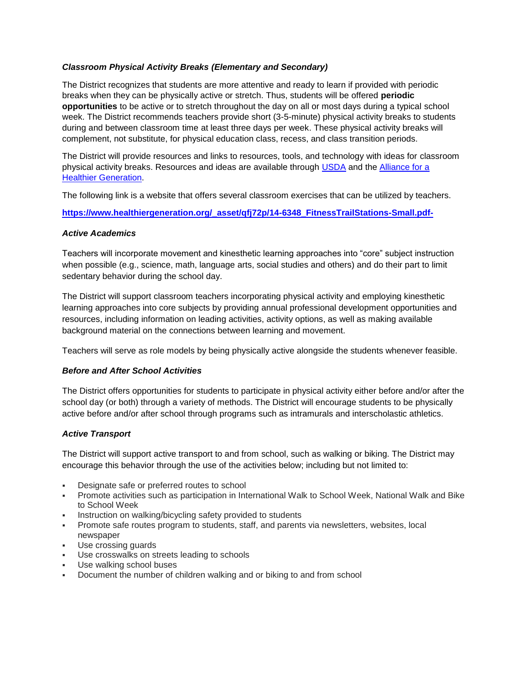# *Classroom Physical Activity Breaks (Elementary and Secondary)*

The District recognizes that students are more attentive and ready to learn if provided with periodic breaks when they can be physically active or stretch. Thus, students will be offered **periodic opportunities** to be active or to stretch throughout the day on all or most days during a typical school week. The District recommends teachers provide short (3-5-minute) physical activity breaks to students during and between classroom time at least three days per week. These physical activity breaks will complement, not substitute, for physical education class, recess, and class transition periods.

The District will provide resources and links to resources, tools, and technology with ideas for classroom physical activity breaks. Resources and ideas are available through [USDA](http://healthymeals.nal.usda.gov/resource-library/physical-activity-school-aged-children/activities-and-tools) and the [Alliance for a](https://www.healthiergeneration.org/take_action/schools/physical_activity/physical_activities/)  [Healthier Generation.](https://www.healthiergeneration.org/take_action/schools/physical_activity/physical_activities/) 

The following link is a website that offers several classroom exercises that can be utilized by teachers.

[https://www.healthiergeneration.org/\\_asset/qfj72p/14-6348\\_FitnessTrailStations-Small.pdf-](https://www.healthiergeneration.org/_asset/qfj72p/14-6348_FitnessTrailStations-Small.pdf-)

### *Active Academics*

Teachers will incorporate movement and kinesthetic learning approaches into "core" subject instruction when possible (e.g., science, math, language arts, social studies and others) and do their part to limit sedentary behavior during the school day.

The District will support classroom teachers incorporating physical activity and employing kinesthetic learning approaches into core subjects by providing annual professional development opportunities and resources, including information on leading activities, activity options, as well as making available background material on the connections between learning and movement.

Teachers will serve as role models by being physically active alongside the students whenever feasible.

# *Before and After School Activities*

The District offers opportunities for students to participate in physical activity either before and/or after the school day (or both) through a variety of methods. The District will encourage students to be physically active before and/or after school through programs such as intramurals and interscholastic athletics.

# *Active Transport*

The District will support active transport to and from school, such as walking or biking. The District may encourage this behavior through the use of the activities below; including but not limited to:

- Designate safe or preferred routes to school
- Promote activities such as participation in International Walk to School Week, National Walk and Bike to School Week
- Instruction on walking/bicycling safety provided to students
- Promote safe routes program to students, staff, and parents via newsletters, websites, local newspaper
- Use crossing guards
- Use crosswalks on streets leading to schools
- Use walking school buses
- Document the number of children walking and or biking to and from school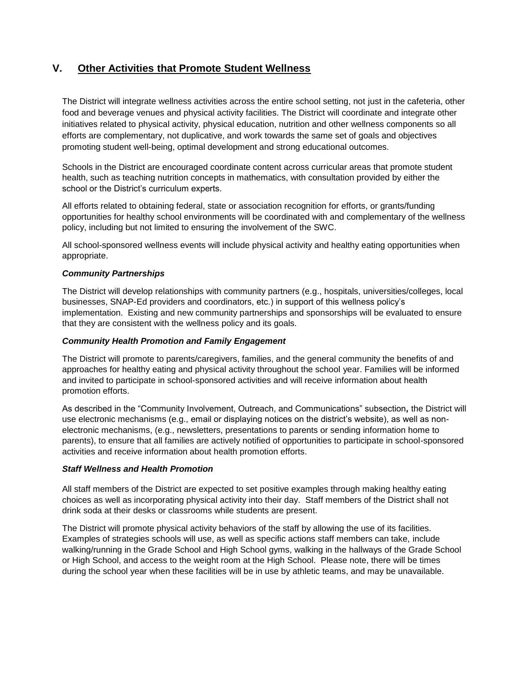# **V. Other Activities that Promote Student Wellness**

The District will integrate wellness activities across the entire school setting, not just in the cafeteria, other food and beverage venues and physical activity facilities. The District will coordinate and integrate other initiatives related to physical activity, physical education, nutrition and other wellness components so all efforts are complementary, not duplicative, and work towards the same set of goals and objectives promoting student well-being, optimal development and strong educational outcomes.

Schools in the District are encouraged coordinate content across curricular areas that promote student health, such as teaching nutrition concepts in mathematics, with consultation provided by either the school or the District's curriculum experts.

All efforts related to obtaining federal, state or association recognition for efforts, or grants/funding opportunities for healthy school environments will be coordinated with and complementary of the wellness policy, including but not limited to ensuring the involvement of the SWC.

All school-sponsored wellness events will include physical activity and healthy eating opportunities when appropriate.

# *Community Partnerships*

The District will develop relationships with community partners (e.g., hospitals, universities/colleges, local businesses, SNAP-Ed providers and coordinators, etc.) in support of this wellness policy's implementation. Existing and new community partnerships and sponsorships will be evaluated to ensure that they are consistent with the wellness policy and its goals.

#### *Community Health Promotion and Family Engagement*

The District will promote to parents/caregivers, families, and the general community the benefits of and approaches for healthy eating and physical activity throughout the school year. Families will be informed and invited to participate in school-sponsored activities and will receive information about health promotion efforts.

As described in the "Community Involvement, Outreach, and Communications" subsection*,* the District will use electronic mechanisms (e.g., email or displaying notices on the district's website), as well as nonelectronic mechanisms, (e.g., newsletters, presentations to parents or sending information home to parents), to ensure that all families are actively notified of opportunities to participate in school-sponsored activities and receive information about health promotion efforts.

#### *Staff Wellness and Health Promotion*

All staff members of the District are expected to set positive examples through making healthy eating choices as well as incorporating physical activity into their day. Staff members of the District shall not drink soda at their desks or classrooms while students are present.

The District will promote physical activity behaviors of the staff by allowing the use of its facilities. Examples of strategies schools will use, as well as specific actions staff members can take, include walking/running in the Grade School and High School gyms, walking in the hallways of the Grade School or High School, and access to the weight room at the High School. Please note, there will be times during the school year when these facilities will be in use by athletic teams, and may be unavailable.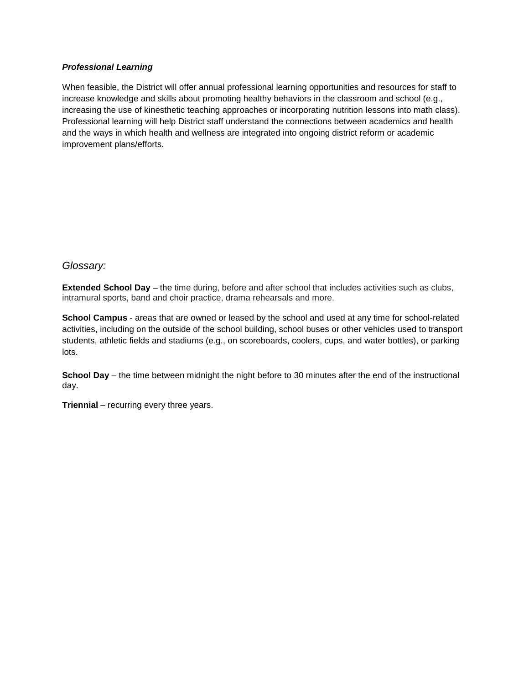# *Professional Learning*

When feasible, the District will offer annual professional learning opportunities and resources for staff to increase knowledge and skills about promoting healthy behaviors in the classroom and school (e.g., increasing the use of kinesthetic teaching approaches or incorporating nutrition lessons into math class). Professional learning will help District staff understand the connections between academics and health and the ways in which health and wellness are integrated into ongoing district reform or academic improvement plans/efforts.

# *Glossary:*

**Extended School Day** – the time during, before and after school that includes activities such as clubs, intramural sports, band and choir practice, drama rehearsals and more.

**School Campus** - areas that are owned or leased by the school and used at any time for school-related activities, including on the outside of the school building, school buses or other vehicles used to transport students, athletic fields and stadiums (e.g., on scoreboards, coolers, cups, and water bottles), or parking lots.

**School Day** – the time between midnight the night before to 30 minutes after the end of the instructional day.

**Triennial** – recurring every three years.